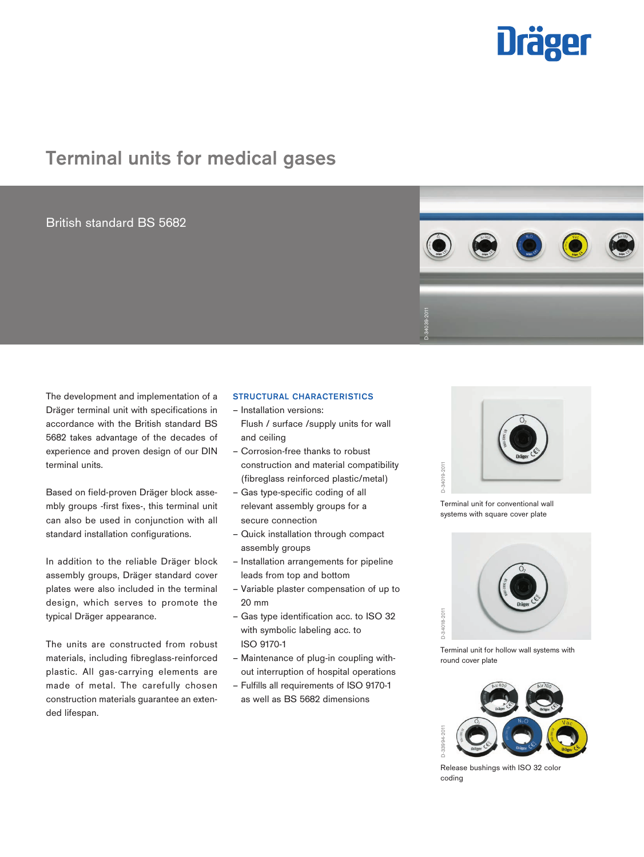# <u> Uräger</u>

# Terminal units for medical gases

## British standard BS 5682



The development and implementation of a Dräger terminal unit with specifications in accordance with the British standard BS 5682 takes advantage of the decades of experience and proven design of our DIN terminal units.

Based on field-proven Dräger block assembly groups -first fixes-, this terminal unit can also be used in conjunction with all standard installation configurations.

In addition to the reliable Dräger block assembly groups, Dräger standard cover plates were also included in the terminal design, which serves to promote the typical Dräger appearance.

The units are constructed from robust materials, including fibreglass-reinforced plastic. All gas-carrying elements are made of metal. The carefully chosen construction materials guarantee an extended lifespan.

### STRUCTURAL CHARACTERISTICS

- Installation versions: Flush / surface /supply units for wall and ceiling
- Corrosion-free thanks to robust construction and material compatibility (fibreglass reinforced plastic/metal)
- Gas type-specific coding of all relevant assembly groups for a secure connection
- Quick installation through compact assembly groups
- Installation arrangements for pipeline leads from top and bottom
- Variable plaster compensation of up to 20 mm
- Gas type identification acc. to ISO 32 with symbolic labeling acc. to ISO 9170-1
- Maintenance of plug-in coupling without interruption of hospital operations
- Fulfills all requirements of ISO 9170-1 as well as BS 5682 dimensions



Terminal unit for conventional wall



Terminal unit for hollow wall systems with



Release bushings with ISO 32 color